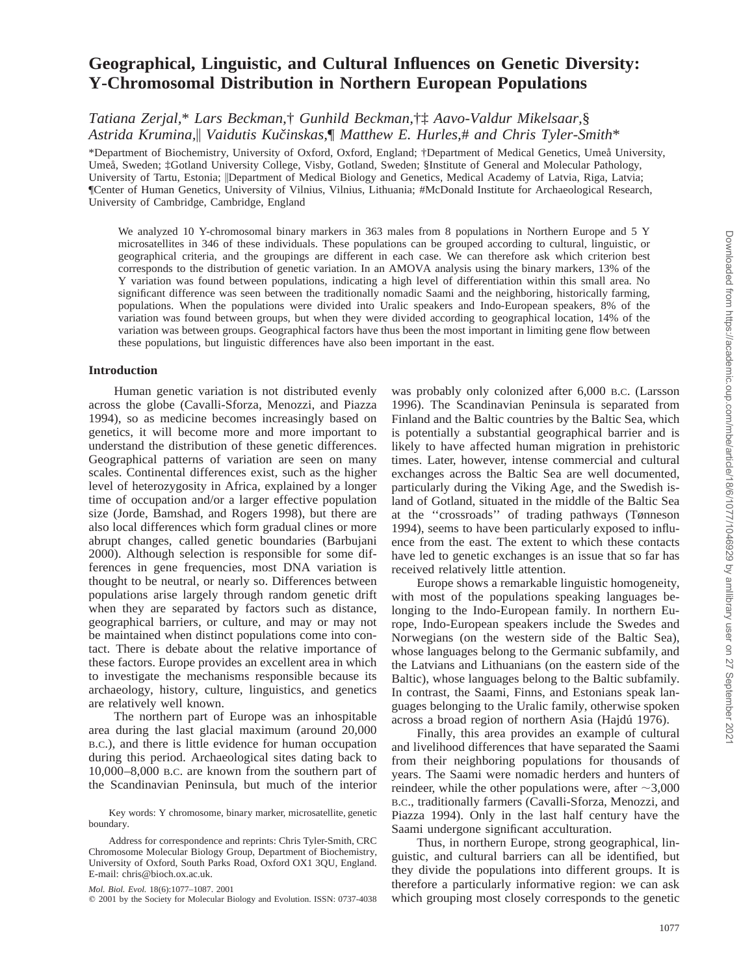# **Geographical, Linguistic, and Cultural Influences on Genetic Diversity: Y-Chromosomal Distribution in Northern European Populations**

*Tatiana Zerjal,*\* *Lars Beckman,*† *Gunhild Beckman,*†‡ *Aavo-Valdur Mikelsaar,*§ *Astrida Krumina,*\ *Vaidutis Kucˇinskas,*¶ *Matthew E. Hurles,*# *and Chris Tyler-Smith*\*

\*Department of Biochemistry, University of Oxford, Oxford, England; †Department of Medical Genetics, Umea˚ University, Umeå, Sweden; ‡Gotland University College, Visby, Gotland, Sweden; §Institute of General and Molecular Pathology, University of Tartu, Estonia;  $\Box$ Department of Medical Biology and Genetics, Medical Academy of Latvia, Riga, Latvia; ¶Center of Human Genetics, University of Vilnius, Vilnius, Lithuania; #McDonald Institute for Archaeological Research, University of Cambridge, Cambridge, England

We analyzed 10 Y-chromosomal binary markers in 363 males from 8 populations in Northern Europe and 5 Y microsatellites in 346 of these individuals. These populations can be grouped according to cultural, linguistic, or geographical criteria, and the groupings are different in each case. We can therefore ask which criterion best corresponds to the distribution of genetic variation. In an AMOVA analysis using the binary markers, 13% of the Y variation was found between populations, indicating a high level of differentiation within this small area. No significant difference was seen between the traditionally nomadic Saami and the neighboring, historically farming, populations. When the populations were divided into Uralic speakers and Indo-European speakers, 8% of the variation was found between groups, but when they were divided according to geographical location, 14% of the variation was between groups. Geographical factors have thus been the most important in limiting gene flow between these populations, but linguistic differences have also been important in the east.

#### **Introduction**

Human genetic variation is not distributed evenly across the globe (Cavalli-Sforza, Menozzi, and Piazza 1994), so as medicine becomes increasingly based on genetics, it will become more and more important to understand the distribution of these genetic differences. Geographical patterns of variation are seen on many scales. Continental differences exist, such as the higher level of heterozygosity in Africa, explained by a longer time of occupation and/or a larger effective population size (Jorde, Bamshad, and Rogers 1998), but there are also local differences which form gradual clines or more abrupt changes, called genetic boundaries (Barbujani 2000). Although selection is responsible for some differences in gene frequencies, most DNA variation is thought to be neutral, or nearly so. Differences between populations arise largely through random genetic drift when they are separated by factors such as distance, geographical barriers, or culture, and may or may not be maintained when distinct populations come into contact. There is debate about the relative importance of these factors. Europe provides an excellent area in which to investigate the mechanisms responsible because its archaeology, history, culture, linguistics, and genetics are relatively well known.

The northern part of Europe was an inhospitable area during the last glacial maximum (around 20,000 B.C.), and there is little evidence for human occupation during this period. Archaeological sites dating back to 10,000–8,000 B.C. are known from the southern part of the Scandinavian Peninsula, but much of the interior

*Mol. Biol. Evol.* 18(6):1077–1087. 2001

was probably only colonized after 6,000 B.C. (Larsson 1996). The Scandinavian Peninsula is separated from Finland and the Baltic countries by the Baltic Sea, which is potentially a substantial geographical barrier and is likely to have affected human migration in prehistoric times. Later, however, intense commercial and cultural exchanges across the Baltic Sea are well documented, particularly during the Viking Age, and the Swedish island of Gotland, situated in the middle of the Baltic Sea at the ''crossroads'' of trading pathways (Tønneson 1994), seems to have been particularly exposed to influence from the east. The extent to which these contacts have led to genetic exchanges is an issue that so far has received relatively little attention.

Europe shows a remarkable linguistic homogeneity, with most of the populations speaking languages belonging to the Indo-European family. In northern Europe, Indo-European speakers include the Swedes and Norwegians (on the western side of the Baltic Sea), whose languages belong to the Germanic subfamily, and the Latvians and Lithuanians (on the eastern side of the Baltic), whose languages belong to the Baltic subfamily. In contrast, the Saami, Finns, and Estonians speak languages belonging to the Uralic family, otherwise spoken across a broad region of northern Asia (Hajdu´ 1976).

Finally, this area provides an example of cultural and livelihood differences that have separated the Saami from their neighboring populations for thousands of years. The Saami were nomadic herders and hunters of reindeer, while the other populations were, after  $\sim$ 3,000 B.C., traditionally farmers (Cavalli-Sforza, Menozzi, and Piazza 1994). Only in the last half century have the Saami undergone significant acculturation.

Thus, in northern Europe, strong geographical, linguistic, and cultural barriers can all be identified, but they divide the populations into different groups. It is therefore a particularly informative region: we can ask which grouping most closely corresponds to the genetic

Key words: Y chromosome, binary marker, microsatellite, genetic boundary.

Address for correspondence and reprints: Chris Tyler-Smith, CRC Chromosome Molecular Biology Group, Department of Biochemistry, University of Oxford, South Parks Road, Oxford OX1 3QU, England. E-mail: chris@bioch.ox.ac.uk.

 $©$  2001 by the Society for Molecular Biology and Evolution. ISSN: 0737-4038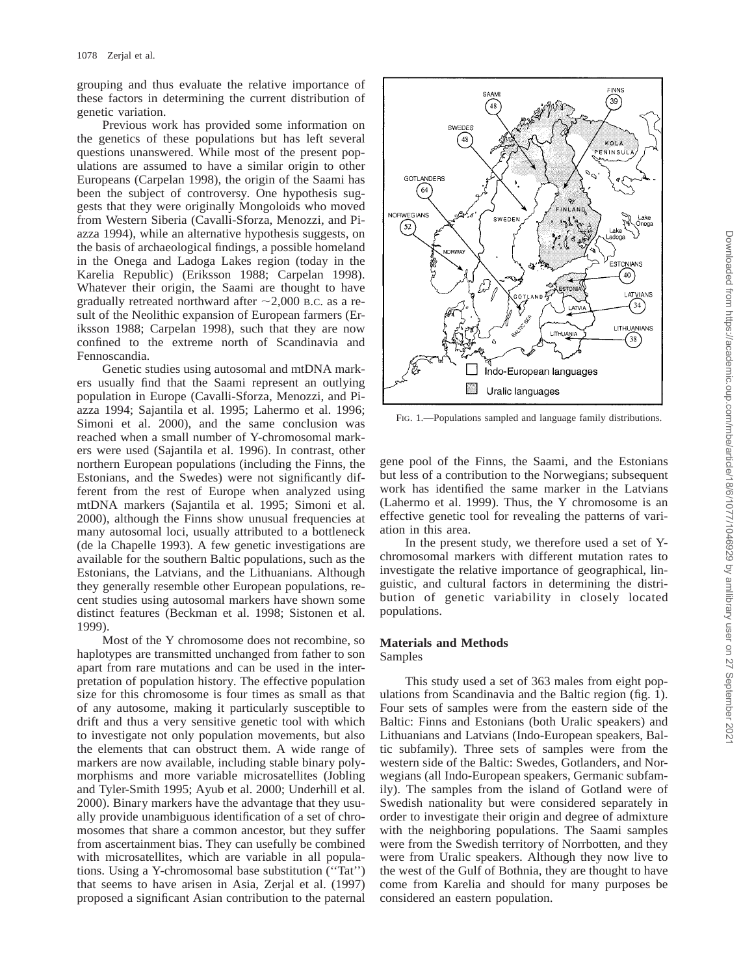grouping and thus evaluate the relative importance of these factors in determining the current distribution of genetic variation.

Previous work has provided some information on the genetics of these populations but has left several questions unanswered. While most of the present populations are assumed to have a similar origin to other Europeans (Carpelan 1998), the origin of the Saami has been the subject of controversy. One hypothesis suggests that they were originally Mongoloids who moved from Western Siberia (Cavalli-Sforza, Menozzi, and Piazza 1994), while an alternative hypothesis suggests, on the basis of archaeological findings, a possible homeland in the Onega and Ladoga Lakes region (today in the Karelia Republic) (Eriksson 1988; Carpelan 1998). Whatever their origin, the Saami are thought to have gradually retreated northward after  $\sim$  2,000 B.C. as a result of the Neolithic expansion of European farmers (Eriksson 1988; Carpelan 1998), such that they are now confined to the extreme north of Scandinavia and Fennoscandia.

Genetic studies using autosomal and mtDNA markers usually find that the Saami represent an outlying population in Europe (Cavalli-Sforza, Menozzi, and Piazza 1994; Sajantila et al. 1995; Lahermo et al. 1996; Simoni et al. 2000), and the same conclusion was reached when a small number of Y-chromosomal markers were used (Sajantila et al. 1996). In contrast, other northern European populations (including the Finns, the Estonians, and the Swedes) were not significantly different from the rest of Europe when analyzed using mtDNA markers (Sajantila et al. 1995; Simoni et al. 2000), although the Finns show unusual frequencies at many autosomal loci, usually attributed to a bottleneck (de la Chapelle 1993). A few genetic investigations are available for the southern Baltic populations, such as the Estonians, the Latvians, and the Lithuanians. Although they generally resemble other European populations, recent studies using autosomal markers have shown some distinct features (Beckman et al. 1998; Sistonen et al. 1999).

Most of the Y chromosome does not recombine, so haplotypes are transmitted unchanged from father to son apart from rare mutations and can be used in the interpretation of population history. The effective population size for this chromosome is four times as small as that of any autosome, making it particularly susceptible to drift and thus a very sensitive genetic tool with which to investigate not only population movements, but also the elements that can obstruct them. A wide range of markers are now available, including stable binary polymorphisms and more variable microsatellites (Jobling and Tyler-Smith 1995; Ayub et al. 2000; Underhill et al. 2000). Binary markers have the advantage that they usually provide unambiguous identification of a set of chromosomes that share a common ancestor, but they suffer from ascertainment bias. They can usefully be combined with microsatellites, which are variable in all populations. Using a Y-chromosomal base substitution (''Tat'') that seems to have arisen in Asia, Zerjal et al. (1997) proposed a significant Asian contribution to the paternal



FIG. 1.—Populations sampled and language family distributions.

gene pool of the Finns, the Saami, and the Estonians but less of a contribution to the Norwegians; subsequent work has identified the same marker in the Latvians (Lahermo et al. 1999). Thus, the Y chromosome is an effective genetic tool for revealing the patterns of variation in this area.

In the present study, we therefore used a set of Ychromosomal markers with different mutation rates to investigate the relative importance of geographical, linguistic, and cultural factors in determining the distribution of genetic variability in closely located populations.

# **Materials and Methods** Samples

This study used a set of 363 males from eight populations from Scandinavia and the Baltic region (fig. 1). Four sets of samples were from the eastern side of the Baltic: Finns and Estonians (both Uralic speakers) and Lithuanians and Latvians (Indo-European speakers, Baltic subfamily). Three sets of samples were from the western side of the Baltic: Swedes, Gotlanders, and Norwegians (all Indo-European speakers, Germanic subfamily). The samples from the island of Gotland were of Swedish nationality but were considered separately in order to investigate their origin and degree of admixture with the neighboring populations. The Saami samples were from the Swedish territory of Norrbotten, and they were from Uralic speakers. Although they now live to the west of the Gulf of Bothnia, they are thought to have come from Karelia and should for many purposes be considered an eastern population.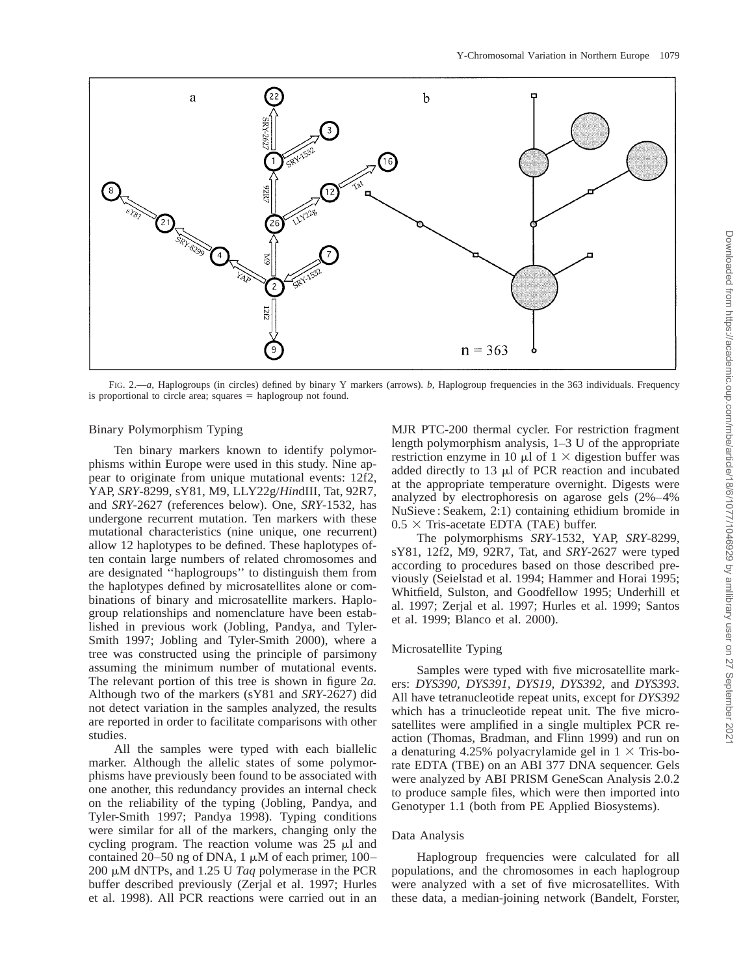

FIG. 2.—*a,* Haplogroups (in circles) defined by binary Y markers (arrows). *b,* Haplogroup frequencies in the 363 individuals. Frequency is proportional to circle area; squares  $=$  haplogroup not found.

# Binary Polymorphism Typing

Ten binary markers known to identify polymorphisms within Europe were used in this study. Nine appear to originate from unique mutational events: 12f2, YAP, *SRY*-8299, sY81, M9, LLY22g/*Hin*dIII, Tat, 92R7, and *SRY*-2627 (references below). One, *SRY*-1532, has undergone recurrent mutation. Ten markers with these mutational characteristics (nine unique, one recurrent) allow 12 haplotypes to be defined. These haplotypes often contain large numbers of related chromosomes and are designated ''haplogroups'' to distinguish them from the haplotypes defined by microsatellites alone or combinations of binary and microsatellite markers. Haplogroup relationships and nomenclature have been established in previous work (Jobling, Pandya, and Tyler-Smith 1997; Jobling and Tyler-Smith 2000), where a tree was constructed using the principle of parsimony assuming the minimum number of mutational events. The relevant portion of this tree is shown in figure 2*a.* Although two of the markers (sY81 and *SRY*-2627) did not detect variation in the samples analyzed, the results are reported in order to facilitate comparisons with other studies.

All the samples were typed with each biallelic marker. Although the allelic states of some polymorphisms have previously been found to be associated with one another, this redundancy provides an internal check on the reliability of the typing (Jobling, Pandya, and Tyler-Smith 1997; Pandya 1998). Typing conditions were similar for all of the markers, changing only the cycling program. The reaction volume was  $25 \mu l$  and contained 20–50 ng of DNA, 1  $\mu$ M of each primer, 100– 200 mM dNTPs, and 1.25 U *Taq* polymerase in the PCR buffer described previously (Zerjal et al. 1997; Hurles et al. 1998). All PCR reactions were carried out in an

MJR PTC-200 thermal cycler. For restriction fragment length polymorphism analysis, 1–3 U of the appropriate restriction enzyme in 10  $\mu$ l of 1  $\times$  digestion buffer was added directly to  $13 \mu l$  of PCR reaction and incubated at the appropriate temperature overnight. Digests were analyzed by electrophoresis on agarose gels (2%–4% NuSieve : Seakem, 2:1) containing ethidium bromide in  $0.5 \times$  Tris-acetate EDTA (TAE) buffer.

The polymorphisms *SRY*-1532, YAP, *SRY*-8299, sY81, 12f2, M9, 92R7, Tat, and *SRY*-2627 were typed according to procedures based on those described previously (Seielstad et al. 1994; Hammer and Horai 1995; Whitfield, Sulston, and Goodfellow 1995; Underhill et al. 1997; Zerjal et al. 1997; Hurles et al. 1999; Santos et al. 1999; Blanco et al. 2000).

## Microsatellite Typing

Samples were typed with five microsatellite markers: *DYS390, DYS391, DYS19, DYS392,* and *DYS393.* All have tetranucleotide repeat units, except for *DYS392* which has a trinucleotide repeat unit. The five microsatellites were amplified in a single multiplex PCR reaction (Thomas, Bradman, and Flinn 1999) and run on a denaturing 4.25% polyacrylamide gel in  $1 \times$  Tris-borate EDTA (TBE) on an ABI 377 DNA sequencer. Gels were analyzed by ABI PRISM GeneScan Analysis 2.0.2 to produce sample files, which were then imported into Genotyper 1.1 (both from PE Applied Biosystems).

#### Data Analysis

Haplogroup frequencies were calculated for all populations, and the chromosomes in each haplogroup were analyzed with a set of five microsatellites. With these data, a median-joining network (Bandelt, Forster,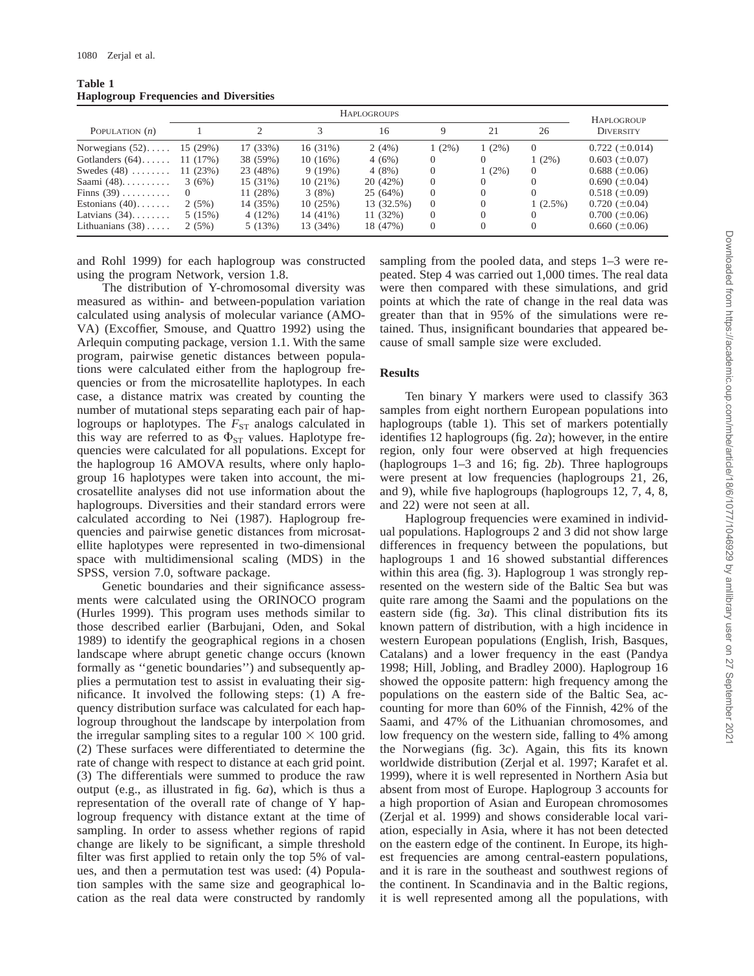| Table 1 |                                               |  |
|---------|-----------------------------------------------|--|
|         | <b>Haplogroup Frequencies and Diversities</b> |  |

|                    |          |          |          | <b>HAPLOGROUPS</b> |          |          |            | HAPLOGROUP           |
|--------------------|----------|----------|----------|--------------------|----------|----------|------------|----------------------|
| POPULATION $(n)$   |          |          |          | 16                 | 9        | 21       | 26         | <b>DIVERSITY</b>     |
| Norwegians $(52)$  | 15 (29%) | 17 (33%) | 16(31%)  | 2(4%)              | $1(2\%)$ | $1(2\%)$ | $\Omega$   | $0.722 (\pm 0.014)$  |
| Gotlanders $(64)$  | 11 (17%) | 38 (59%) | 10(16%)  | 4(6%)              | $\left($ |          | $1(2\%)$   | $0.603~(\pm 0.07)$   |
| Swedes $(48)$      | 11(23%)  | 23 (48%) | 9(19%)   | 4(8%)              | 0        | $1(2\%)$ | 0          | $0.688 \ (\pm 0.06)$ |
| Saami $(48)$       | 3(6%)    | 15 (31%) | 10(21%)  | 20 (42%)           | $\Omega$ | $\Omega$ | $\Omega$   | $0.690 (\pm 0.04)$   |
| Finns $(39)$       |          | 11 (28%) | 3(8%)    | 25 (64%)           | $\left($ | $\Omega$ | $\Omega$   | $0.518 (\pm 0.09)$   |
| Estonians $(40)$   | 2(5%)    | 14 (35%) | 10(25%)  | 13 (32.5%)         | $\left($ | $\Omega$ | $1(2.5\%)$ | $0.720~(\pm 0.04)$   |
| Latvians $(34)$    | 5(15%)   | 4(12%)   | 14 (41%) | 11(32%)            | $\left($ | $\Omega$ | $\Omega$   | $0.700~(\pm 0.06)$   |
| Lithuanians $(38)$ | 2(5%)    | 5(13%)   | 13 (34%) | 18 (47%)           | $\Omega$ | $\Omega$ | $\theta$   | $0.660~(\pm 0.06)$   |

and Rohl 1999) for each haplogroup was constructed using the program Network, version 1.8.

The distribution of Y-chromosomal diversity was measured as within- and between-population variation calculated using analysis of molecular variance (AMO-VA) (Excoffier, Smouse, and Quattro 1992) using the Arlequin computing package, version 1.1. With the same program, pairwise genetic distances between populations were calculated either from the haplogroup frequencies or from the microsatellite haplotypes. In each case, a distance matrix was created by counting the number of mutational steps separating each pair of haplogroups or haplotypes. The  $F_{ST}$  analogs calculated in this way are referred to as  $\Phi_{ST}$  values. Haplotype frequencies were calculated for all populations. Except for the haplogroup 16 AMOVA results, where only haplogroup 16 haplotypes were taken into account, the microsatellite analyses did not use information about the haplogroups. Diversities and their standard errors were calculated according to Nei (1987). Haplogroup frequencies and pairwise genetic distances from microsatellite haplotypes were represented in two-dimensional space with multidimensional scaling (MDS) in the SPSS, version 7.0, software package.

Genetic boundaries and their significance assessments were calculated using the ORINOCO program (Hurles 1999). This program uses methods similar to those described earlier (Barbujani, Oden, and Sokal 1989) to identify the geographical regions in a chosen landscape where abrupt genetic change occurs (known formally as ''genetic boundaries'') and subsequently applies a permutation test to assist in evaluating their significance. It involved the following steps: (1) A frequency distribution surface was calculated for each haplogroup throughout the landscape by interpolation from the irregular sampling sites to a regular  $100 \times 100$  grid. (2) These surfaces were differentiated to determine the rate of change with respect to distance at each grid point. (3) The differentials were summed to produce the raw output (e.g., as illustrated in fig. 6*a*), which is thus a representation of the overall rate of change of Y haplogroup frequency with distance extant at the time of sampling. In order to assess whether regions of rapid change are likely to be significant, a simple threshold filter was first applied to retain only the top 5% of values, and then a permutation test was used: (4) Population samples with the same size and geographical location as the real data were constructed by randomly sampling from the pooled data, and steps 1–3 were repeated. Step 4 was carried out 1,000 times. The real data were then compared with these simulations, and grid points at which the rate of change in the real data was greater than that in 95% of the simulations were retained. Thus, insignificant boundaries that appeared because of small sample size were excluded.

# **Results**

Ten binary Y markers were used to classify 363 samples from eight northern European populations into haplogroups (table 1). This set of markers potentially identifies 12 haplogroups (fig. 2*a*); however, in the entire region, only four were observed at high frequencies (haplogroups 1–3 and 16; fig. 2*b*). Three haplogroups were present at low frequencies (haplogroups 21, 26, and 9), while five haplogroups (haplogroups 12, 7, 4, 8, and 22) were not seen at all.

Haplogroup frequencies were examined in individual populations. Haplogroups 2 and 3 did not show large differences in frequency between the populations, but haplogroups 1 and 16 showed substantial differences within this area (fig. 3). Haplogroup 1 was strongly represented on the western side of the Baltic Sea but was quite rare among the Saami and the populations on the eastern side (fig. 3*a*). This clinal distribution fits its known pattern of distribution, with a high incidence in western European populations (English, Irish, Basques, Catalans) and a lower frequency in the east (Pandya 1998; Hill, Jobling, and Bradley 2000). Haplogroup 16 showed the opposite pattern: high frequency among the populations on the eastern side of the Baltic Sea, accounting for more than 60% of the Finnish, 42% of the Saami, and 47% of the Lithuanian chromosomes, and low frequency on the western side, falling to 4% among the Norwegians (fig. 3*c*). Again, this fits its known worldwide distribution (Zerjal et al. 1997; Karafet et al. 1999), where it is well represented in Northern Asia but absent from most of Europe. Haplogroup 3 accounts for a high proportion of Asian and European chromosomes (Zerjal et al. 1999) and shows considerable local variation, especially in Asia, where it has not been detected on the eastern edge of the continent. In Europe, its highest frequencies are among central-eastern populations, and it is rare in the southeast and southwest regions of the continent. In Scandinavia and in the Baltic regions, it is well represented among all the populations, with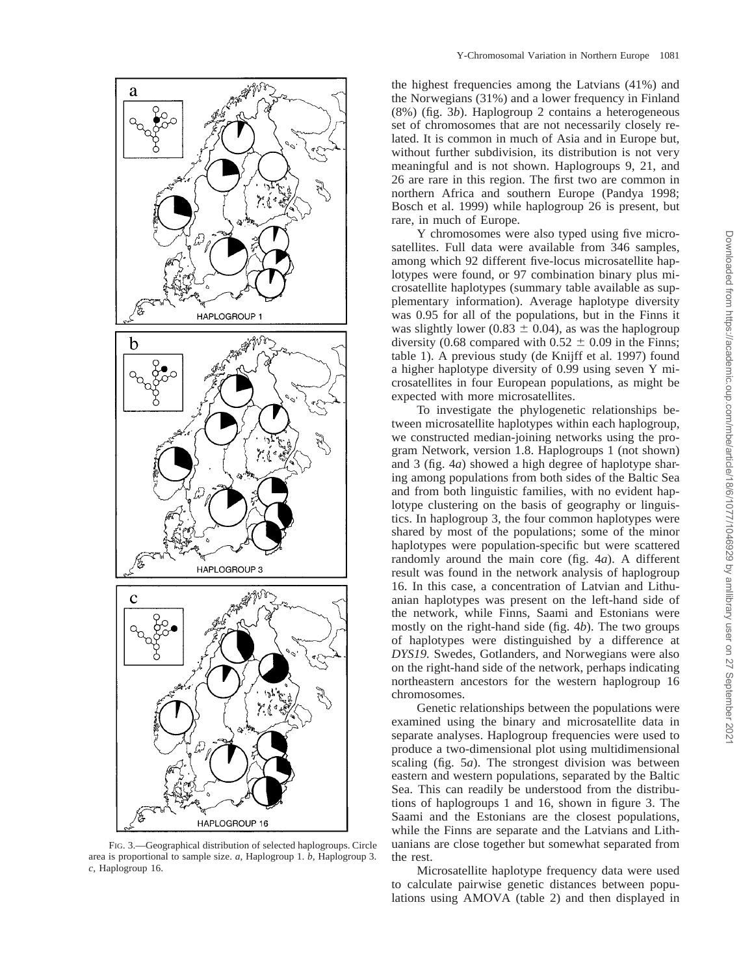

FIG. 3.—Geographical distribution of selected haplogroups. Circle area is proportional to sample size. *a,* Haplogroup 1. *b,* Haplogroup 3. *c,* Haplogroup 16.

the highest frequencies among the Latvians (41%) and the Norwegians (31%) and a lower frequency in Finland (8%) (fig. 3*b*). Haplogroup 2 contains a heterogeneous set of chromosomes that are not necessarily closely related. It is common in much of Asia and in Europe but, without further subdivision, its distribution is not very meaningful and is not shown. Haplogroups 9, 21, and 26 are rare in this region. The first two are common in northern Africa and southern Europe (Pandya 1998; Bosch et al. 1999) while haplogroup 26 is present, but rare, in much of Europe.

Y chromosomes were also typed using five microsatellites. Full data were available from 346 samples, among which 92 different five-locus microsatellite haplotypes were found, or 97 combination binary plus microsatellite haplotypes (summary table available as supplementary information). Average haplotype diversity was 0.95 for all of the populations, but in the Finns it was slightly lower (0.83  $\pm$  0.04), as was the haplogroup diversity (0.68 compared with  $0.52 \pm 0.09$  in the Finns; table 1). A previous study (de Knijff et al. 1997) found a higher haplotype diversity of 0.99 using seven Y microsatellites in four European populations, as might be expected with more microsatellites.

To investigate the phylogenetic relationships between microsatellite haplotypes within each haplogroup, we constructed median-joining networks using the program Network, version 1.8. Haplogroups 1 (not shown) and 3 (fig. 4*a*) showed a high degree of haplotype sharing among populations from both sides of the Baltic Sea and from both linguistic families, with no evident haplotype clustering on the basis of geography or linguistics. In haplogroup 3, the four common haplotypes were shared by most of the populations; some of the minor haplotypes were population-specific but were scattered randomly around the main core (fig. 4*a*). A different result was found in the network analysis of haplogroup 16. In this case, a concentration of Latvian and Lithuanian haplotypes was present on the left-hand side of the network, while Finns, Saami and Estonians were mostly on the right-hand side (fig. 4*b*). The two groups of haplotypes were distinguished by a difference at *DYS19.* Swedes, Gotlanders, and Norwegians were also on the right-hand side of the network, perhaps indicating northeastern ancestors for the western haplogroup 16 chromosomes.

Genetic relationships between the populations were examined using the binary and microsatellite data in separate analyses. Haplogroup frequencies were used to produce a two-dimensional plot using multidimensional scaling (fig. 5*a*). The strongest division was between eastern and western populations, separated by the Baltic Sea. This can readily be understood from the distributions of haplogroups 1 and 16, shown in figure 3. The Saami and the Estonians are the closest populations, while the Finns are separate and the Latvians and Lithuanians are close together but somewhat separated from the rest.

Microsatellite haplotype frequency data were used to calculate pairwise genetic distances between populations using AMOVA (table 2) and then displayed in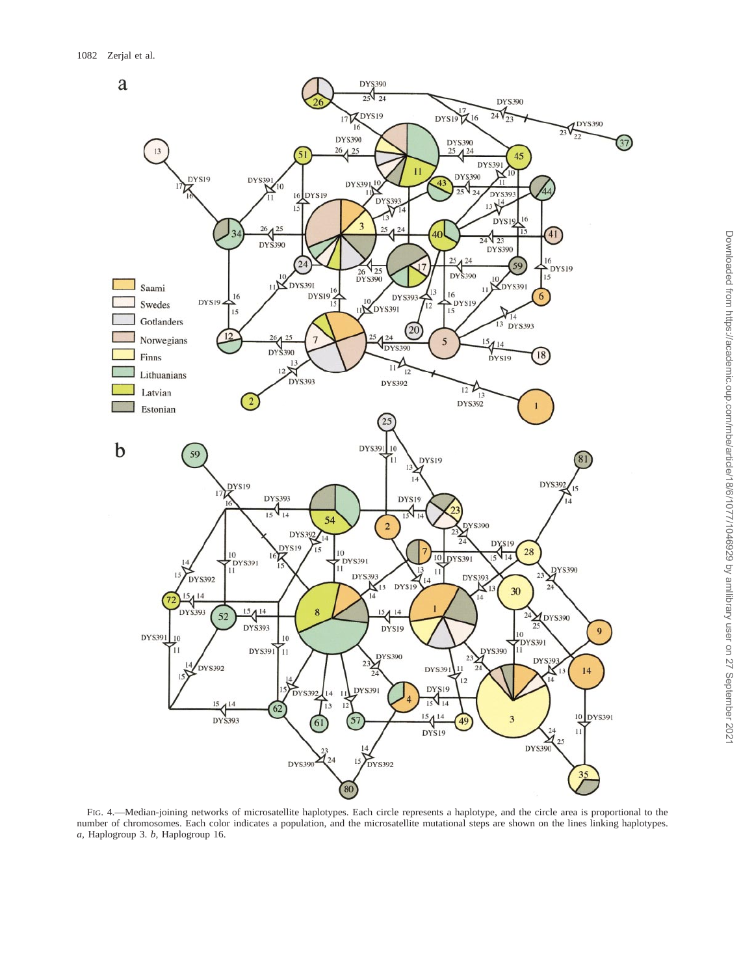

FIG. 4.—Median-joining networks of microsatellite haplotypes. Each circle represents a haplotype, and the circle area is proportional to the number of chromosomes. Each color indicates a population, and the microsatellite mutational steps are shown on the lines linking haplotypes. *a,* Haplogroup 3. *b,* Haplogroup 16.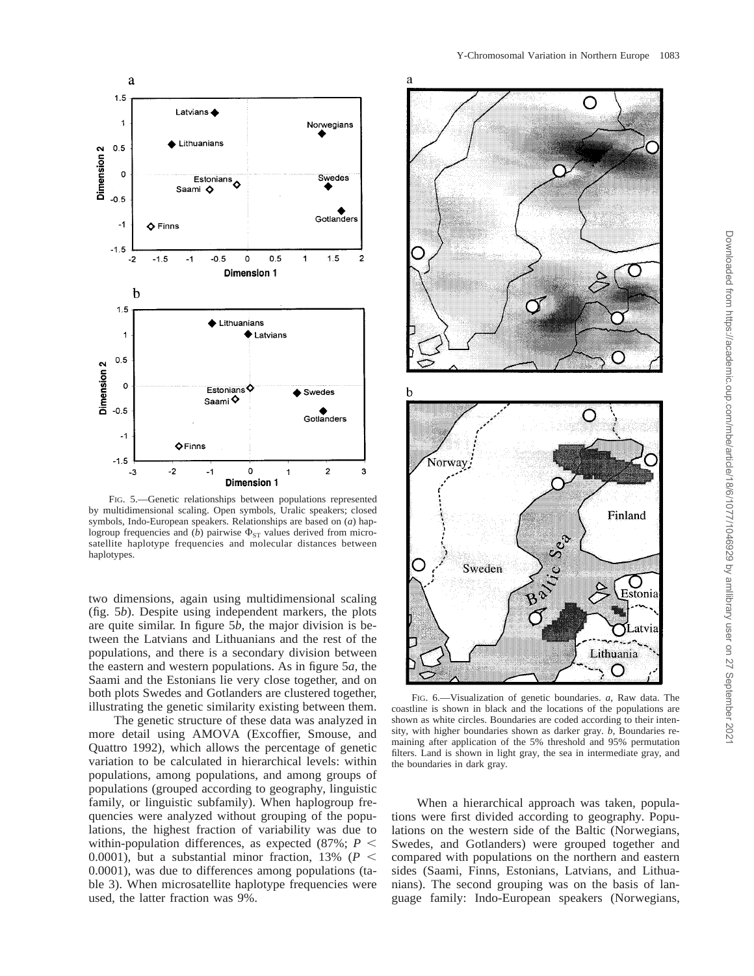



FIG. 5.—Genetic relationships between populations represented by multidimensional scaling. Open symbols, Uralic speakers; closed symbols, Indo-European speakers. Relationships are based on (*a*) haplogroup frequencies and (*b*) pairwise  $\Phi_{ST}$  values derived from microsatellite haplotype frequencies and molecular distances between haplotypes.

two dimensions, again using multidimensional scaling (fig. 5*b*). Despite using independent markers, the plots are quite similar. In figure 5*b,* the major division is between the Latvians and Lithuanians and the rest of the populations, and there is a secondary division between the eastern and western populations. As in figure 5*a,* the Saami and the Estonians lie very close together, and on both plots Swedes and Gotlanders are clustered together, illustrating the genetic similarity existing between them.

The genetic structure of these data was analyzed in more detail using AMOVA (Excoffier, Smouse, and Quattro 1992), which allows the percentage of genetic variation to be calculated in hierarchical levels: within populations, among populations, and among groups of populations (grouped according to geography, linguistic family, or linguistic subfamily). When haplogroup frequencies were analyzed without grouping of the populations, the highest fraction of variability was due to within-population differences, as expected  $(87\%; P \leq$ 0.0001), but a substantial minor fraction, 13% ( $P \leq$ 0.0001), was due to differences among populations (table 3). When microsatellite haplotype frequencies were used, the latter fraction was 9%.





FIG. 6.—Visualization of genetic boundaries. *a,* Raw data. The coastline is shown in black and the locations of the populations are shown as white circles. Boundaries are coded according to their intensity, with higher boundaries shown as darker gray. *b,* Boundaries remaining after application of the 5% threshold and 95% permutation filters. Land is shown in light gray, the sea in intermediate gray, and the boundaries in dark gray.

When a hierarchical approach was taken, populations were first divided according to geography. Populations on the western side of the Baltic (Norwegians, Swedes, and Gotlanders) were grouped together and compared with populations on the northern and eastern sides (Saami, Finns, Estonians, Latvians, and Lithuanians). The second grouping was on the basis of language family: Indo-European speakers (Norwegians,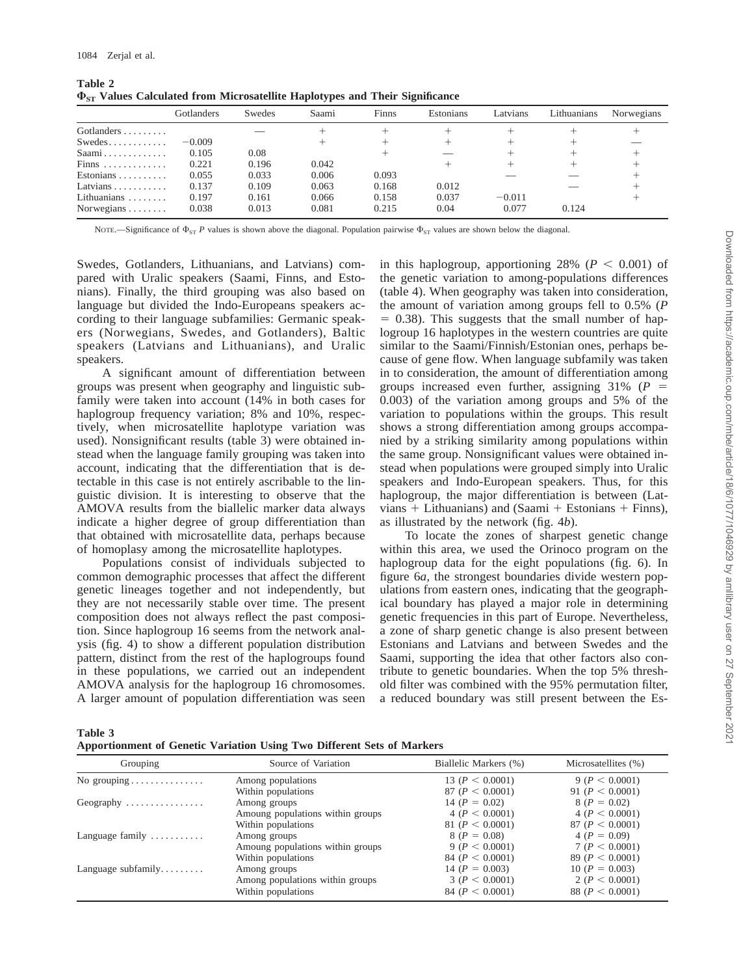**Table 2**

|                                  | Gotlanders | Swedes | Saami | Finns | Estonians | Latvians | Lithuanians | Norwegians |
|----------------------------------|------------|--------|-------|-------|-----------|----------|-------------|------------|
| Gotlanders                       |            |        |       |       |           |          |             |            |
|                                  | $-0.009$   |        |       |       |           |          |             |            |
| Saami                            | 0.105      | 0.08   |       |       |           |          |             |            |
| Finns                            | 0.221      | 0.196  | 0.042 |       |           |          |             |            |
| Estonians $\ldots \ldots \ldots$ | 0.055      | 0.033  | 0.006 | 0.093 |           |          |             |            |
| Latvians $\ldots \ldots \ldots$  | 0.137      | 0.109  | 0.063 | 0.168 | 0.012     |          |             |            |
| Lithuanians $\ldots$             | 0.197      | 0.161  | 0.066 | 0.158 | 0.037     | $-0.011$ |             |            |
| Norwegians $\ldots$              | 0.038      | 0.013  | 0.081 | 0.215 | 0.04      | 0.077    | 0.124       |            |

| ------- |                                                                                     |  |  |
|---------|-------------------------------------------------------------------------------------|--|--|
|         | $\Phi_{ST}$ Values Calculated from Microsatellite Haplotypes and Their Significance |  |  |

NOTE.—Significance of  $\Phi_{ST}$  *P* values is shown above the diagonal. Population pairwise  $\Phi_{ST}$  values are shown below the diagonal.

Swedes, Gotlanders, Lithuanians, and Latvians) compared with Uralic speakers (Saami, Finns, and Estonians). Finally, the third grouping was also based on language but divided the Indo-Europeans speakers according to their language subfamilies: Germanic speakers (Norwegians, Swedes, and Gotlanders), Baltic speakers (Latvians and Lithuanians), and Uralic speakers.

A significant amount of differentiation between groups was present when geography and linguistic subfamily were taken into account (14% in both cases for haplogroup frequency variation; 8% and 10%, respectively, when microsatellite haplotype variation was used). Nonsignificant results (table 3) were obtained instead when the language family grouping was taken into account, indicating that the differentiation that is detectable in this case is not entirely ascribable to the linguistic division. It is interesting to observe that the AMOVA results from the biallelic marker data always indicate a higher degree of group differentiation than that obtained with microsatellite data, perhaps because of homoplasy among the microsatellite haplotypes.

Populations consist of individuals subjected to common demographic processes that affect the different genetic lineages together and not independently, but they are not necessarily stable over time. The present composition does not always reflect the past composition. Since haplogroup 16 seems from the network analysis (fig. 4) to show a different population distribution pattern, distinct from the rest of the haplogroups found in these populations, we carried out an independent AMOVA analysis for the haplogroup 16 chromosomes. A larger amount of population differentiation was seen in this haplogroup, apportioning 28% ( $P < 0.001$ ) of the genetic variation to among-populations differences (table 4). When geography was taken into consideration, the amount of variation among groups fell to 0.5% (*P*  $= 0.38$ ). This suggests that the small number of haplogroup 16 haplotypes in the western countries are quite similar to the Saami/Finnish/Estonian ones, perhaps because of gene flow. When language subfamily was taken in to consideration, the amount of differentiation among groups increased even further, assigning  $31\%$  ( $P =$ 0.003) of the variation among groups and 5% of the variation to populations within the groups. This result shows a strong differentiation among groups accompanied by a striking similarity among populations within the same group. Nonsignificant values were obtained instead when populations were grouped simply into Uralic speakers and Indo-European speakers. Thus, for this haplogroup, the major differentiation is between (Latvians  $+$  Lithuanians) and (Saami  $+$  Estonians  $+$  Finns), as illustrated by the network (fig. 4*b*).

To locate the zones of sharpest genetic change within this area, we used the Orinoco program on the haplogroup data for the eight populations (fig. 6). In figure 6*a,* the strongest boundaries divide western populations from eastern ones, indicating that the geographical boundary has played a major role in determining genetic frequencies in this part of Europe. Nevertheless, a zone of sharp genetic change is also present between Estonians and Latvians and between Swedes and the Saami, supporting the idea that other factors also contribute to genetic boundaries. When the top 5% threshold filter was combined with the 95% permutation filter, a reduced boundary was still present between the Es-

**Table 3**

| <b>Apportionment of Genetic Variation Using Two Different Sets of Markers</b> |  |  |  |
|-------------------------------------------------------------------------------|--|--|--|
|-------------------------------------------------------------------------------|--|--|--|

| Grouping                              | Source of Variation              | Biallelic Markers (%) | Microsatellites (%) |
|---------------------------------------|----------------------------------|-----------------------|---------------------|
| No grouping $\dots \dots \dots \dots$ | Among populations                | 13 ( $P < 0.0001$ )   | 9 (P < 0.0001)      |
|                                       | Within populations               | 87 ( $P < 0.0001$ )   | 91 ( $P < 0.0001$ ) |
| Geography $\dots\dots\dots\dots\dots$ | Among groups                     | 14 ( $P = 0.02$ )     | $8 (P = 0.02)$      |
|                                       | Amoung populations within groups | 4 (P < 0.0001)        | 4 (P < 0.0001)      |
|                                       | Within populations               | 81 ( $P < 0.0001$ )   | 87 ( $P < 0.0001$ ) |
| Language family $\dots\dots\dots$     | Among groups                     | $8 (P = 0.08)$        | $4 (P = 0.09)$      |
|                                       | Amoung populations within groups | 9 (P < 0.0001)        | 7 (P < 0.0001)      |
|                                       | Within populations               | 84 ( $P < 0.0001$ )   | 89 ( $P < 0.0001$ ) |
| Language subfamily                    | Among groups                     | 14 ( $P = 0.003$ )    | $10 (P = 0.003)$    |
|                                       | Among populations within groups  | 3 (P < 0.0001)        | 2 ( $P < 0.0001$ )  |
|                                       | Within populations               | 84 ( $P < 0.0001$ )   | 88 ( $P < 0.0001$ ) |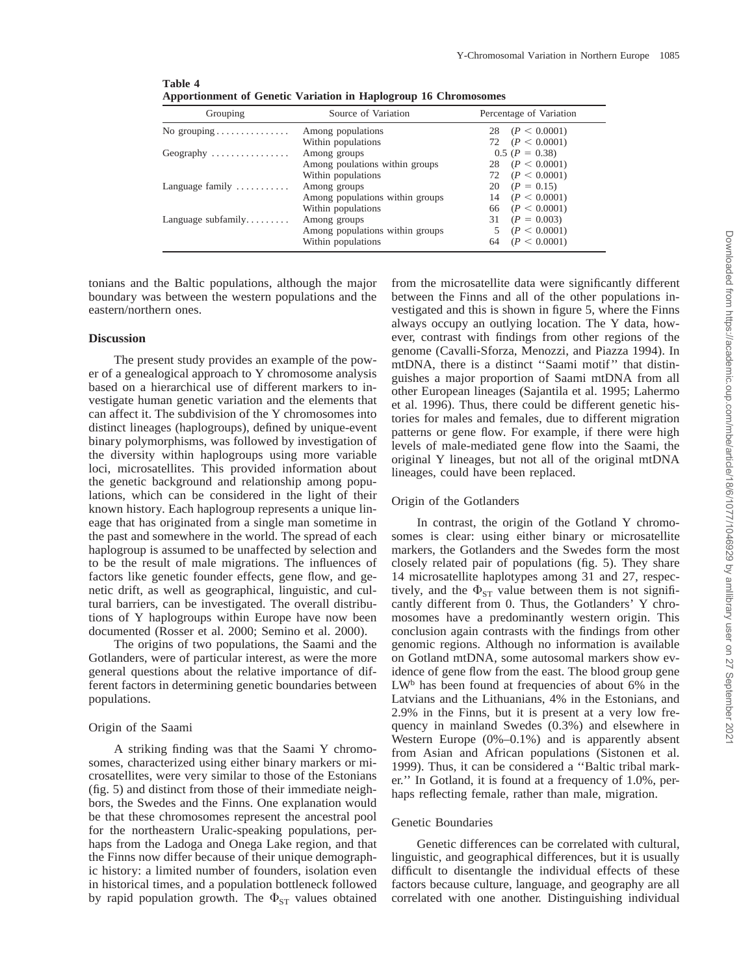| Grouping                              | Source of Variation             | Percentage of Variation |
|---------------------------------------|---------------------------------|-------------------------|
| No grouping $\dots \dots \dots \dots$ | Among populations               | 28 $(P < 0.0001)$       |
|                                       | Within populations              | 72 $(P < 0.0001)$       |
| Geography $\dots\dots\dots\dots\dots$ | Among groups                    | $0.5 (P = 0.38)$        |
|                                       | Among poulations within groups  | 28 $(P < 0.0001)$       |
|                                       | Within populations              | 72 $(P < 0.0001)$       |
| Language family $\dots\dots\dots$     | Among groups                    | 20 $(P = 0.15)$         |
|                                       | Among populations within groups | $14 \quad (P < 0.0001)$ |
|                                       | Within populations              | 66 $(P < 0.0001)$       |
| Language subfamily                    | Among groups                    | 31 $(P = 0.003)$        |
|                                       | Among populations within groups | (P < 0.0001)            |
|                                       | Within populations              | (P < 0.0001)<br>64      |

**Table 4 Apportionment of Genetic Variation in Haplogroup 16 Chromosomes**

tonians and the Baltic populations, although the major boundary was between the western populations and the eastern/northern ones.

# **Discussion**

The present study provides an example of the power of a genealogical approach to Y chromosome analysis based on a hierarchical use of different markers to investigate human genetic variation and the elements that can affect it. The subdivision of the Y chromosomes into distinct lineages (haplogroups), defined by unique-event binary polymorphisms, was followed by investigation of the diversity within haplogroups using more variable loci, microsatellites. This provided information about the genetic background and relationship among populations, which can be considered in the light of their known history. Each haplogroup represents a unique lineage that has originated from a single man sometime in the past and somewhere in the world. The spread of each haplogroup is assumed to be unaffected by selection and to be the result of male migrations. The influences of factors like genetic founder effects, gene flow, and genetic drift, as well as geographical, linguistic, and cultural barriers, can be investigated. The overall distributions of Y haplogroups within Europe have now been documented (Rosser et al. 2000; Semino et al. 2000).

The origins of two populations, the Saami and the Gotlanders, were of particular interest, as were the more general questions about the relative importance of different factors in determining genetic boundaries between populations.

## Origin of the Saami

A striking finding was that the Saami Y chromosomes, characterized using either binary markers or microsatellites, were very similar to those of the Estonians (fig. 5) and distinct from those of their immediate neighbors, the Swedes and the Finns. One explanation would be that these chromosomes represent the ancestral pool for the northeastern Uralic-speaking populations, perhaps from the Ladoga and Onega Lake region, and that the Finns now differ because of their unique demographic history: a limited number of founders, isolation even in historical times, and a population bottleneck followed by rapid population growth. The  $\Phi_{ST}$  values obtained

from the microsatellite data were significantly different between the Finns and all of the other populations investigated and this is shown in figure 5, where the Finns always occupy an outlying location. The Y data, however, contrast with findings from other regions of the genome (Cavalli-Sforza, Menozzi, and Piazza 1994). In mtDNA, there is a distinct ''Saami motif'' that distinguishes a major proportion of Saami mtDNA from all other European lineages (Sajantila et al. 1995; Lahermo et al. 1996). Thus, there could be different genetic histories for males and females, due to different migration patterns or gene flow. For example, if there were high levels of male-mediated gene flow into the Saami, the original Y lineages, but not all of the original mtDNA lineages, could have been replaced.

# Origin of the Gotlanders

In contrast, the origin of the Gotland Y chromosomes is clear: using either binary or microsatellite markers, the Gotlanders and the Swedes form the most closely related pair of populations (fig. 5). They share 14 microsatellite haplotypes among 31 and 27, respectively, and the  $\Phi_{ST}$  value between them is not significantly different from 0. Thus, the Gotlanders' Y chromosomes have a predominantly western origin. This conclusion again contrasts with the findings from other genomic regions. Although no information is available on Gotland mtDNA, some autosomal markers show evidence of gene flow from the east. The blood group gene LW<sup>b</sup> has been found at frequencies of about 6% in the Latvians and the Lithuanians, 4% in the Estonians, and 2.9% in the Finns, but it is present at a very low frequency in mainland Swedes (0.3%) and elsewhere in Western Europe (0%–0.1%) and is apparently absent from Asian and African populations (Sistonen et al. 1999). Thus, it can be considered a ''Baltic tribal marker.'' In Gotland, it is found at a frequency of 1.0%, perhaps reflecting female, rather than male, migration.

## Genetic Boundaries

Genetic differences can be correlated with cultural, linguistic, and geographical differences, but it is usually difficult to disentangle the individual effects of these factors because culture, language, and geography are all correlated with one another. Distinguishing individual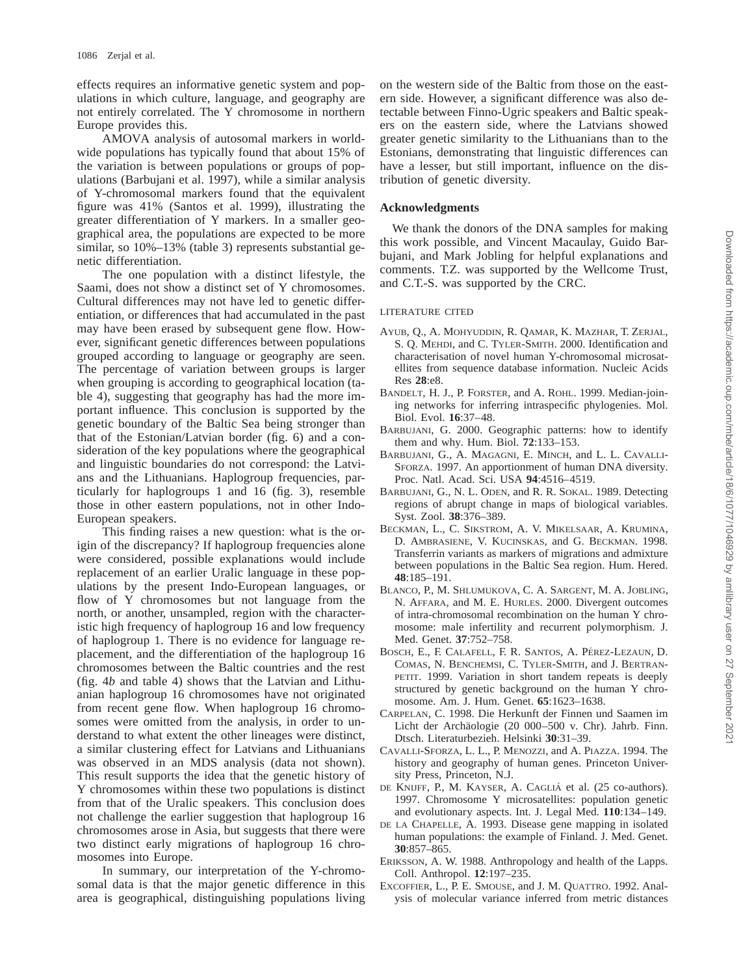effects requires an informative genetic system and populations in which culture, language, and geography are not entirely correlated. The Y chromosome in northern Europe provides this.

AMOVA analysis of autosomal markers in worldwide populations has typically found that about 15% of the variation is between populations or groups of populations (Barbujani et al. 1997), while a similar analysis of Y-chromosomal markers found that the equivalent figure was 41% (Santos et al. 1999), illustrating the greater differentiation of Y markers. In a smaller geographical area, the populations are expected to be more similar, so 10%–13% (table 3) represents substantial genetic differentiation.

The one population with a distinct lifestyle, the Saami, does not show a distinct set of Y chromosomes. Cultural differences may not have led to genetic differentiation, or differences that had accumulated in the past may have been erased by subsequent gene flow. However, significant genetic differences between populations grouped according to language or geography are seen. The percentage of variation between groups is larger when grouping is according to geographical location (table 4), suggesting that geography has had the more important influence. This conclusion is supported by the genetic boundary of the Baltic Sea being stronger than that of the Estonian/Latvian border (fig. 6) and a consideration of the key populations where the geographical and linguistic boundaries do not correspond: the Latvians and the Lithuanians. Haplogroup frequencies, particularly for haplogroups 1 and 16 (fig. 3), resemble those in other eastern populations, not in other Indo-European speakers.

This finding raises a new question: what is the origin of the discrepancy? If haplogroup frequencies alone were considered, possible explanations would include replacement of an earlier Uralic language in these populations by the present Indo-European languages, or flow of Y chromosomes but not language from the north, or another, unsampled, region with the characteristic high frequency of haplogroup 16 and low frequency of haplogroup 1. There is no evidence for language replacement, and the differentiation of the haplogroup 16 chromosomes between the Baltic countries and the rest (fig. 4*b* and table 4) shows that the Latvian and Lithuanian haplogroup 16 chromosomes have not originated from recent gene flow. When haplogroup 16 chromosomes were omitted from the analysis, in order to understand to what extent the other lineages were distinct, a similar clustering effect for Latvians and Lithuanians was observed in an MDS analysis (data not shown). This result supports the idea that the genetic history of Y chromosomes within these two populations is distinct from that of the Uralic speakers. This conclusion does not challenge the earlier suggestion that haplogroup 16 chromosomes arose in Asia, but suggests that there were two distinct early migrations of haplogroup 16 chromosomes into Europe.

In summary, our interpretation of the Y-chromosomal data is that the major genetic difference in this area is geographical, distinguishing populations living on the western side of the Baltic from those on the eastern side. However, a significant difference was also detectable between Finno-Ugric speakers and Baltic speakers on the eastern side, where the Latvians showed greater genetic similarity to the Lithuanians than to the Estonians, demonstrating that linguistic differences can have a lesser, but still important, influence on the distribution of genetic diversity.

# **Acknowledgments**

We thank the donors of the DNA samples for making this work possible, and Vincent Macaulay, Guido Barbujani, and Mark Jobling for helpful explanations and comments. T.Z. was supported by the Wellcome Trust, and C.T.-S. was supported by the CRC.

## LITERATURE CITED

- AYUB, Q., A. MOHYUDDIN, R. QAMAR, K. MAZHAR, T. ZERJAL, S. Q. MEHDI, and C. TYLER-SMITH. 2000. Identification and characterisation of novel human Y-chromosomal microsatellites from sequence database information. Nucleic Acids Res **28**:e8.
- BANDELT, H. J., P. FORSTER, and A. ROHL. 1999. Median-joining networks for inferring intraspecific phylogenies. Mol. Biol. Evol. **16**:37–48.
- BARBUJANI, G. 2000. Geographic patterns: how to identify them and why. Hum. Biol. **72**:133–153.
- BARBUJANI, G., A. MAGAGNI, E. MINCH, and L. L. CAVALLI-SFORZA. 1997. An apportionment of human DNA diversity. Proc. Natl. Acad. Sci. USA **94**:4516–4519.
- BARBUJANI, G., N. L. ODEN, and R. R. SOKAL. 1989. Detecting regions of abrupt change in maps of biological variables. Syst. Zool. **38**:376–389.
- BECKMAN, L., C. SIKSTROM, A. V. MIKELSAAR, A. KRUMINA, D. AMBRASIENE, V. KUCINSKAS, and G. BECKMAN. 1998. Transferrin variants as markers of migrations and admixture between populations in the Baltic Sea region. Hum. Hered. **48**:185–191.
- BLANCO, P., M. SHLUMUKOVA, C. A. SARGENT, M. A. JOBLING, N. AFFARA, and M. E. HURLES. 2000. Divergent outcomes of intra-chromosomal recombination on the human Y chromosome: male infertility and recurrent polymorphism. J. Med. Genet. **37**:752–758.
- BOSCH, E., F. CALAFELL, F. R. SANTOS, A. PÉREZ-LEZAUN, D. COMAS, N. BENCHEMSI, C. TYLER-SMITH, and J. BERTRAN-PETIT. 1999. Variation in short tandem repeats is deeply structured by genetic background on the human Y chromosome. Am. J. Hum. Genet. **65**:1623–1638.
- CARPELAN, C. 1998. Die Herkunft der Finnen und Saamen im Licht der Archäologie (20 000–500 v. Chr). Jahrb. Finn. Dtsch. Literaturbezieh. Helsinki **30**:31–39.
- CAVALLI-SFORZA, L. L., P. MENOZZI, and A. PIAZZA. 1994. The history and geography of human genes. Princeton University Press, Princeton, N.J.
- DE KNIJFF, P., M. KAYSER, A. CAGLIA´ et al. (25 co-authors). 1997. Chromosome Y microsatellites: population genetic and evolutionary aspects. Int. J. Legal Med. **110**:134–149.
- DE LA CHAPELLE, A. 1993. Disease gene mapping in isolated human populations: the example of Finland. J. Med. Genet. **30**:857–865.
- ERIKSSON, A. W. 1988. Anthropology and health of the Lapps. Coll. Anthropol. **12**:197–235.
- EXCOFFIER, L., P. E. SMOUSE, and J. M. QUATTRO. 1992. Analysis of molecular variance inferred from metric distances